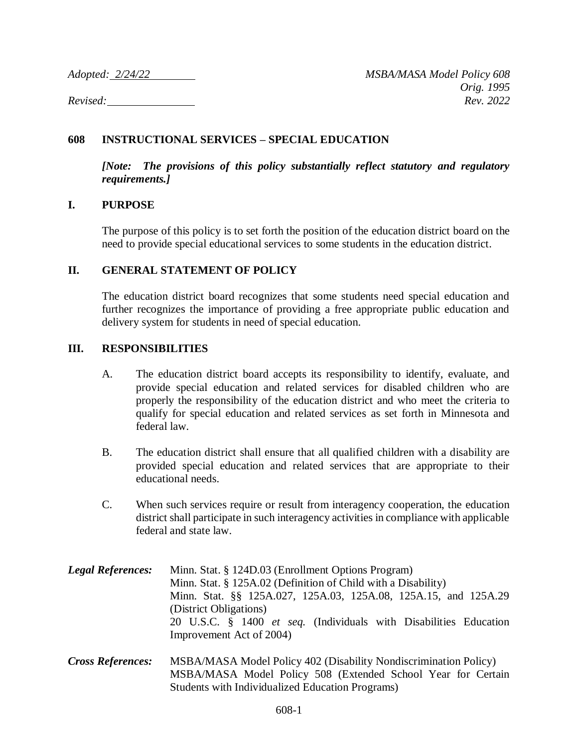## **608 INSTRUCTIONAL SERVICES – SPECIAL EDUCATION**

*[Note: The provisions of this policy substantially reflect statutory and regulatory requirements.]*

## **I. PURPOSE**

The purpose of this policy is to set forth the position of the education district board on the need to provide special educational services to some students in the education district.

## **II. GENERAL STATEMENT OF POLICY**

The education district board recognizes that some students need special education and further recognizes the importance of providing a free appropriate public education and delivery system for students in need of special education.

## **III. RESPONSIBILITIES**

- A. The education district board accepts its responsibility to identify, evaluate, and provide special education and related services for disabled children who are properly the responsibility of the education district and who meet the criteria to qualify for special education and related services as set forth in Minnesota and federal law.
- B. The education district shall ensure that all qualified children with a disability are provided special education and related services that are appropriate to their educational needs.
- C. When such services require or result from interagency cooperation, the education district shall participate in such interagency activities in compliance with applicable federal and state law.
- *Legal References:* Minn. Stat. § 124D.03 (Enrollment Options Program) Minn. Stat. § 125A.02 (Definition of Child with a Disability) Minn. Stat. §§ 125A.027, 125A.03, 125A.08, 125A.15, and 125A.29 (District Obligations) 20 U.S.C. § 1400 *et seq.* (Individuals with Disabilities Education Improvement Act of 2004)
- *Cross References:* MSBA/MASA Model Policy 402 (Disability Nondiscrimination Policy) MSBA/MASA Model Policy 508 (Extended School Year for Certain Students with Individualized Education Programs)